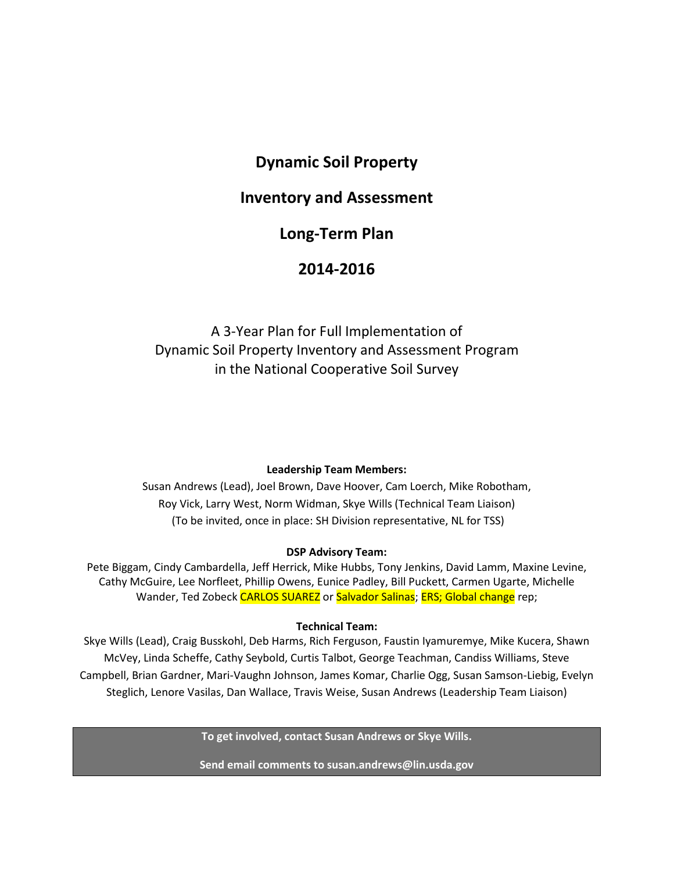# **Dynamic Soil Property**

# **Inventory and Assessment**

# **Long-Term Plan**

# **2014-2016**

# A 3-Year Plan for Full Implementation of Dynamic Soil Property Inventory and Assessment Program in the National Cooperative Soil Survey

#### **Leadership Team Members:**

Susan Andrews (Lead), Joel Brown, Dave Hoover, Cam Loerch, Mike Robotham, Roy Vick, Larry West, Norm Widman, Skye Wills (Technical Team Liaison) (To be invited, once in place: SH Division representative, NL for TSS)

#### **DSP Advisory Team:**

Pete Biggam, Cindy Cambardella, Jeff Herrick, Mike Hubbs, Tony Jenkins, David Lamm, Maxine Levine, Cathy McGuire, Lee Norfleet, Phillip Owens, Eunice Padley, Bill Puckett, Carmen Ugarte, Michelle Wander, Ted Zobeck CARLOS SUAREZ or Salvador Salinas; ERS; Global change rep;

#### **Technical Team:**

Skye Wills (Lead), Craig Busskohl, Deb Harms, Rich Ferguson, Faustin Iyamuremye, Mike Kucera, Shawn McVey, Linda Scheffe, Cathy Seybold, Curtis Talbot, George Teachman, Candiss Williams, Steve Campbell, Brian Gardner, Mari-Vaughn Johnson, James Komar, Charlie Ogg, Susan Samson-Liebig, Evelyn Steglich, Lenore Vasilas, Dan Wallace, Travis Weise, Susan Andrews (Leadership Team Liaison)

**To get involved, contact Susan Andrews or Skye Wills.** 

**Send email comments to susan.andrews@lin.usda.gov**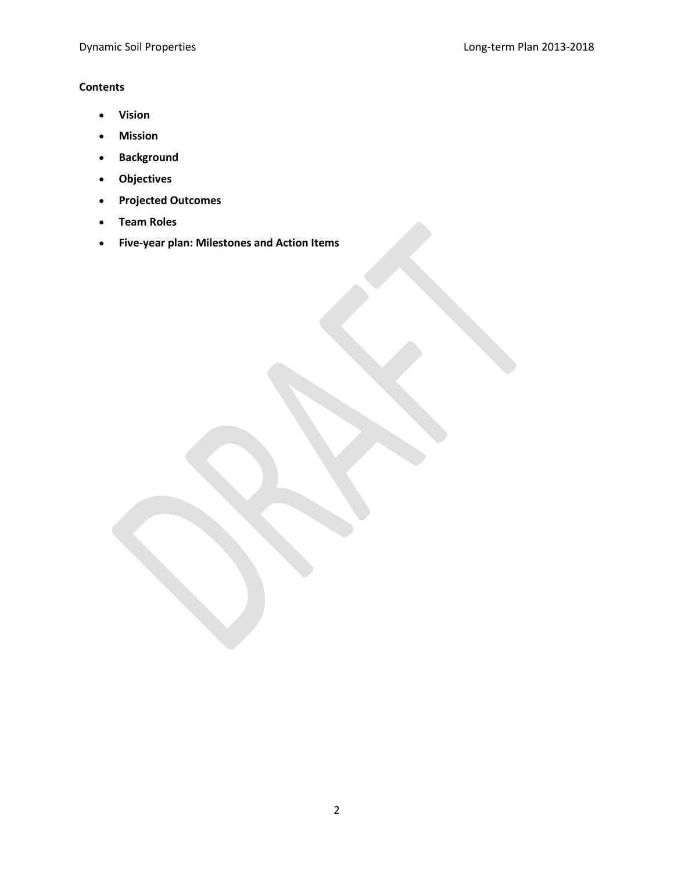## **Contents**

- **Vision**
- **Mission**
- **Background**
- **Objectives**
- **Projected Outcomes**
- **Team Roles**
- **Five-year plan: Milestones and Action Items**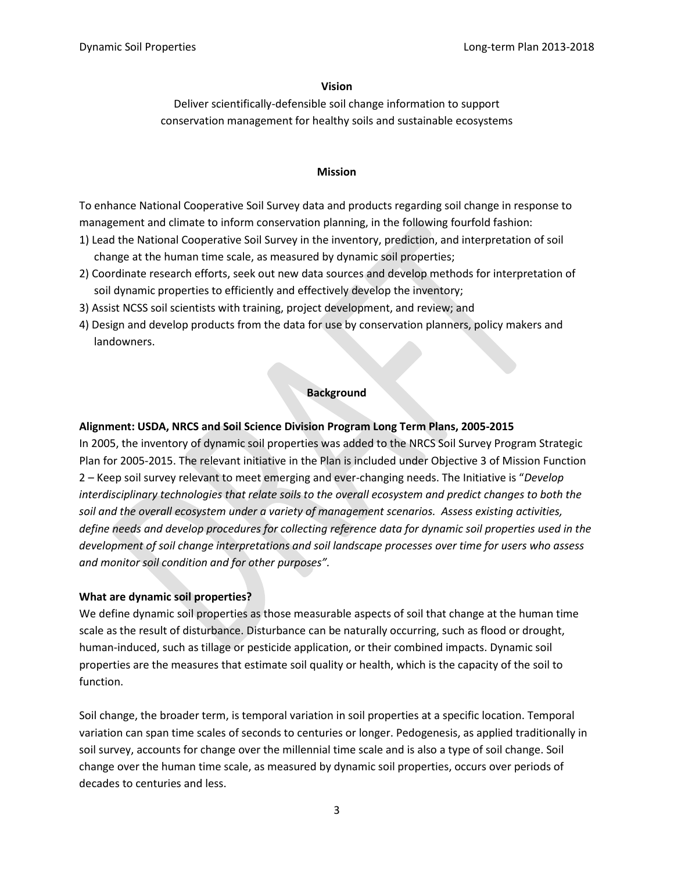#### **Vision**

Deliver scientifically-defensible soil change information to support conservation management for healthy soils and sustainable ecosystems

#### **Mission**

To enhance National Cooperative Soil Survey data and products regarding soil change in response to management and climate to inform conservation planning, in the following fourfold fashion:

- 1) Lead the National Cooperative Soil Survey in the inventory, prediction, and interpretation of soil change at the human time scale, as measured by dynamic soil properties;
- 2) Coordinate research efforts, seek out new data sources and develop methods for interpretation of soil dynamic properties to efficiently and effectively develop the inventory;
- 3) Assist NCSS soil scientists with training, project development, and review; and
- 4) Design and develop products from the data for use by conservation planners, policy makers and landowners.

#### **Background**

#### **Alignment: USDA, NRCS and Soil Science Division Program Long Term Plans, 2005-2015**

In 2005, the inventory of dynamic soil properties was added to the NRCS Soil Survey Program Strategic Plan for 2005-2015. The relevant initiative in the Plan is included under Objective 3 of Mission Function 2 – Keep soil survey relevant to meet emerging and ever-changing needs. The Initiative is "*Develop interdisciplinary technologies that relate soils to the overall ecosystem and predict changes to both the soil and the overall ecosystem under a variety of management scenarios. Assess existing activities, define needs and develop procedures for collecting reference data for dynamic soil properties used in the development of soil change interpretations and soil landscape processes over time for users who assess and monitor soil condition and for other purposes".*

#### **What are dynamic soil properties?**

We define dynamic soil properties as those measurable aspects of soil that change at the human time scale as the result of disturbance. Disturbance can be naturally occurring, such as flood or drought, human-induced, such as tillage or pesticide application, or their combined impacts. Dynamic soil properties are the measures that estimate soil quality or health, which is the capacity of the soil to function.

Soil change, the broader term, is temporal variation in soil properties at a specific location. Temporal variation can span time scales of seconds to centuries or longer. Pedogenesis, as applied traditionally in soil survey, accounts for change over the millennial time scale and is also a type of soil change. Soil change over the human time scale, as measured by dynamic soil properties, occurs over periods of decades to centuries and less.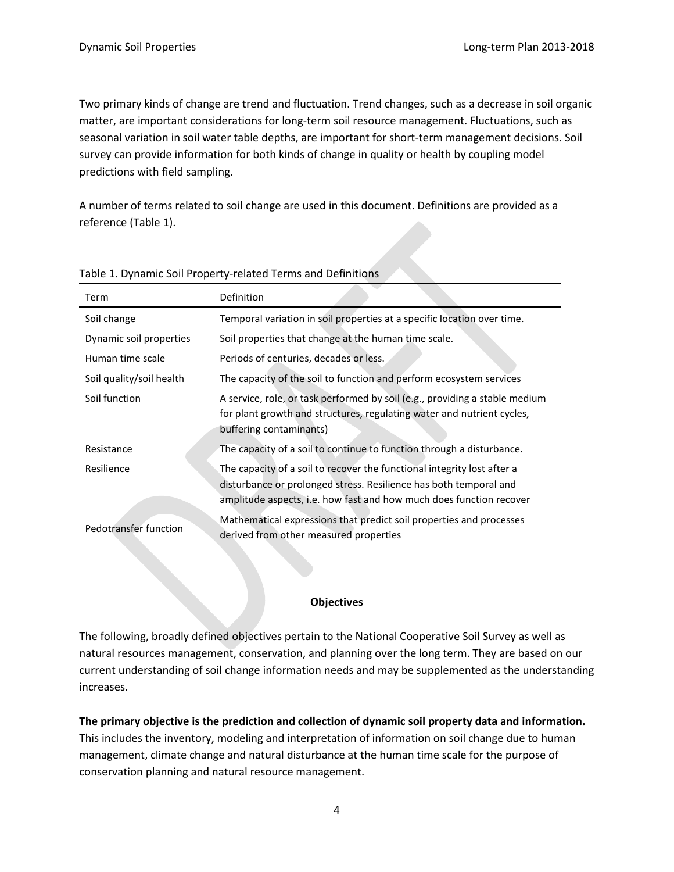Two primary kinds of change are trend and fluctuation. Trend changes, such as a decrease in soil organic matter, are important considerations for long-term soil resource management. Fluctuations, such as seasonal variation in soil water table depths, are important for short-term management decisions. Soil survey can provide information for both kinds of change in quality or health by coupling model predictions with field sampling.

A number of terms related to soil change are used in this document. Definitions are provided as a reference (Table 1).

| Term                     | Definition                                                                                                                                                                                                          |
|--------------------------|---------------------------------------------------------------------------------------------------------------------------------------------------------------------------------------------------------------------|
| Soil change              | Temporal variation in soil properties at a specific location over time.                                                                                                                                             |
| Dynamic soil properties  | Soil properties that change at the human time scale.                                                                                                                                                                |
| Human time scale         | Periods of centuries, decades or less.                                                                                                                                                                              |
| Soil quality/soil health | The capacity of the soil to function and perform ecosystem services                                                                                                                                                 |
| Soil function            | A service, role, or task performed by soil (e.g., providing a stable medium<br>for plant growth and structures, regulating water and nutrient cycles,<br>buffering contaminants)                                    |
| Resistance               | The capacity of a soil to continue to function through a disturbance.                                                                                                                                               |
| Resilience               | The capacity of a soil to recover the functional integrity lost after a<br>disturbance or prolonged stress. Resilience has both temporal and<br>amplitude aspects, i.e. how fast and how much does function recover |
| Pedotransfer function    | Mathematical expressions that predict soil properties and processes<br>derived from other measured properties                                                                                                       |

#### Table 1. Dynamic Soil Property-related Terms and Definitions

#### **Objectives**

The following, broadly defined objectives pertain to the National Cooperative Soil Survey as well as natural resources management, conservation, and planning over the long term. They are based on our current understanding of soil change information needs and may be supplemented as the understanding increases.

**The primary objective is the prediction and collection of dynamic soil property data and information.**

This includes the inventory, modeling and interpretation of information on soil change due to human management, climate change and natural disturbance at the human time scale for the purpose of conservation planning and natural resource management.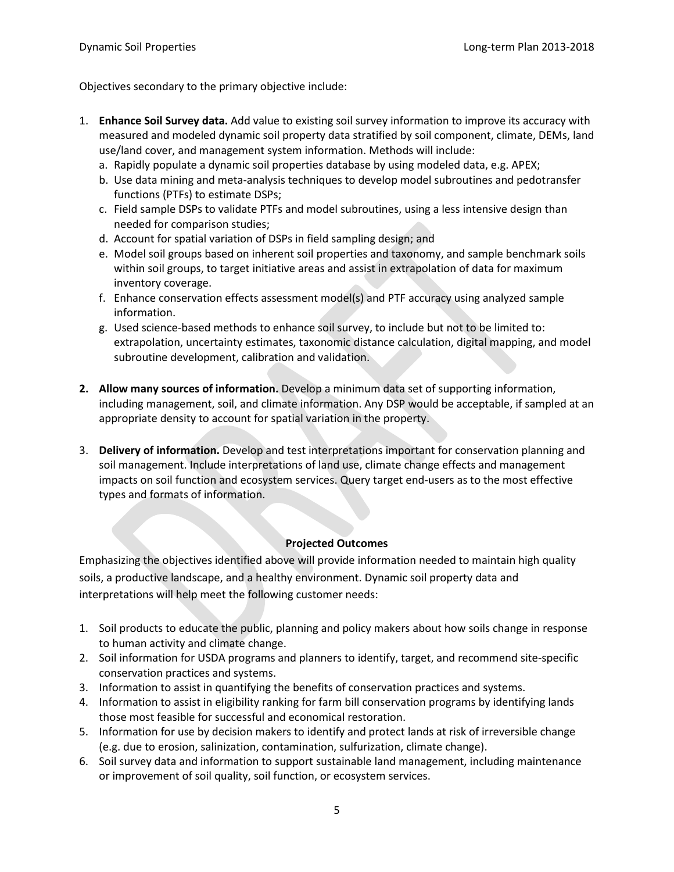Objectives secondary to the primary objective include:

- 1. **Enhance Soil Survey data.** Add value to existing soil survey information to improve its accuracy with measured and modeled dynamic soil property data stratified by soil component, climate, DEMs, land use/land cover, and management system information. Methods will include:
	- a. Rapidly populate a dynamic soil properties database by using modeled data, e.g. APEX;
	- b. Use data mining and meta-analysis techniques to develop model subroutines and pedotransfer functions (PTFs) to estimate DSPs;
	- c. Field sample DSPs to validate PTFs and model subroutines, using a less intensive design than needed for comparison studies;
	- d. Account for spatial variation of DSPs in field sampling design; and
	- e. Model soil groups based on inherent soil properties and taxonomy, and sample benchmark soils within soil groups, to target initiative areas and assist in extrapolation of data for maximum inventory coverage.
	- f. Enhance conservation effects assessment model(s) and PTF accuracy using analyzed sample information.
	- g. Used science-based methods to enhance soil survey, to include but not to be limited to: extrapolation, uncertainty estimates, taxonomic distance calculation, digital mapping, and model subroutine development, calibration and validation.
- **2. Allow many sources of information.** Develop a minimum data set of supporting information, including management, soil, and climate information. Any DSP would be acceptable, if sampled at an appropriate density to account for spatial variation in the property.
- 3. **Delivery of information.** Develop and test interpretations important for conservation planning and soil management. Include interpretations of land use, climate change effects and management impacts on soil function and ecosystem services. Query target end-users as to the most effective types and formats of information.

#### **Projected Outcomes**

Emphasizing the objectives identified above will provide information needed to maintain high quality soils, a productive landscape, and a healthy environment. Dynamic soil property data and interpretations will help meet the following customer needs:

- 1. Soil products to educate the public, planning and policy makers about how soils change in response to human activity and climate change.
- 2. Soil information for USDA programs and planners to identify, target, and recommend site-specific conservation practices and systems.
- 3. Information to assist in quantifying the benefits of conservation practices and systems.
- 4. Information to assist in eligibility ranking for farm bill conservation programs by identifying lands those most feasible for successful and economical restoration.
- 5. Information for use by decision makers to identify and protect lands at risk of irreversible change (e.g. due to erosion, salinization, contamination, sulfurization, climate change).
- 6. Soil survey data and information to support sustainable land management, including maintenance or improvement of soil quality, soil function, or ecosystem services.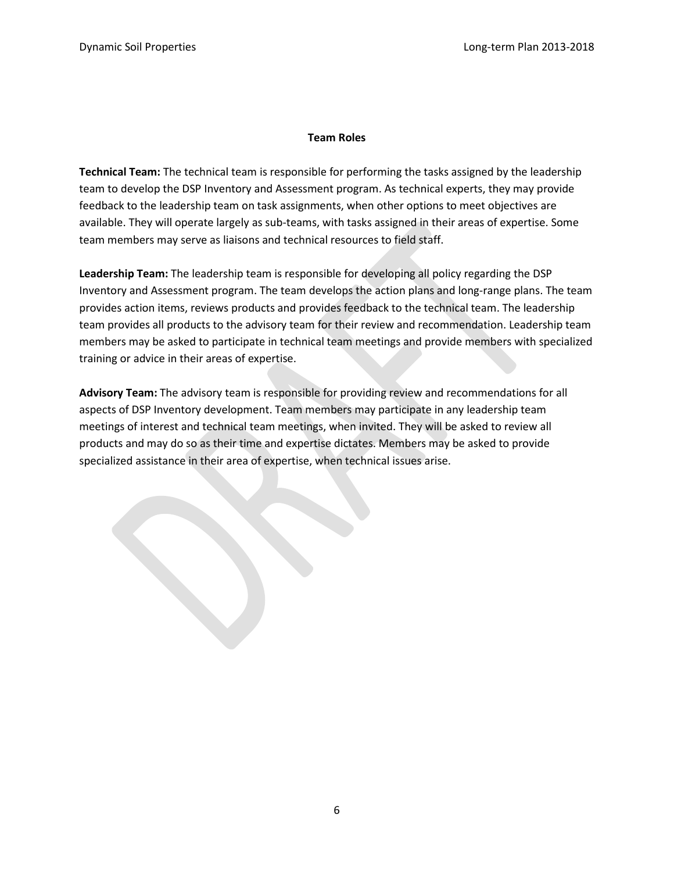#### **Team Roles**

**Technical Team:** The technical team is responsible for performing the tasks assigned by the leadership team to develop the DSP Inventory and Assessment program. As technical experts, they may provide feedback to the leadership team on task assignments, when other options to meet objectives are available. They will operate largely as sub-teams, with tasks assigned in their areas of expertise. Some team members may serve as liaisons and technical resources to field staff.

**Leadership Team:** The leadership team is responsible for developing all policy regarding the DSP Inventory and Assessment program. The team develops the action plans and long-range plans. The team provides action items, reviews products and provides feedback to the technical team. The leadership team provides all products to the advisory team for their review and recommendation. Leadership team members may be asked to participate in technical team meetings and provide members with specialized training or advice in their areas of expertise.

**Advisory Team:** The advisory team is responsible for providing review and recommendations for all aspects of DSP Inventory development. Team members may participate in any leadership team meetings of interest and technical team meetings, when invited. They will be asked to review all products and may do so as their time and expertise dictates. Members may be asked to provide specialized assistance in their area of expertise, when technical issues arise.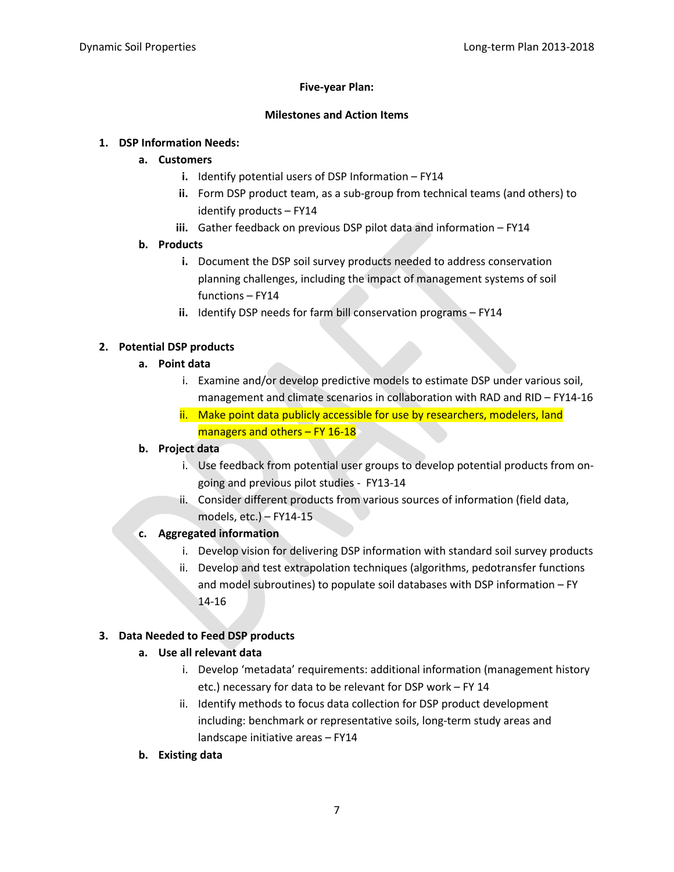#### **Five-year Plan:**

#### **Milestones and Action Items**

#### **1. DSP Information Needs:**

#### **a. Customers**

- **i.** Identify potential users of DSP Information FY14
- **ii.** Form DSP product team, as a sub-group from technical teams (and others) to identify products – FY14
- **iii.** Gather feedback on previous DSP pilot data and information FY14

## **b. Products**

- **i.** Document the DSP soil survey products needed to address conservation planning challenges, including the impact of management systems of soil functions – FY14
- **ii.** Identify DSP needs for farm bill conservation programs FY14

## **2. Potential DSP products**

## **a. Point data**

- i. Examine and/or develop predictive models to estimate DSP under various soil, management and climate scenarios in collaboration with RAD and RID – FY14-16
- ii. Make point data publicly accessible for use by researchers, modelers, land managers and others  $-$  FY 16-18

## **b. Project data**

- i. Use feedback from potential user groups to develop potential products from ongoing and previous pilot studies - FY13-14
- ii. Consider different products from various sources of information (field data, models, etc.) – FY14-15

## **c. Aggregated information**

- i. Develop vision for delivering DSP information with standard soil survey products
- ii. Develop and test extrapolation techniques (algorithms, pedotransfer functions and model subroutines) to populate soil databases with DSP information – FY 14-16

## **3. Data Needed to Feed DSP products**

## **a. Use all relevant data**

- i. Develop 'metadata' requirements: additional information (management history etc.) necessary for data to be relevant for DSP work – FY 14
- ii. Identify methods to focus data collection for DSP product development including: benchmark or representative soils, long-term study areas and landscape initiative areas – FY14
- **b. Existing data**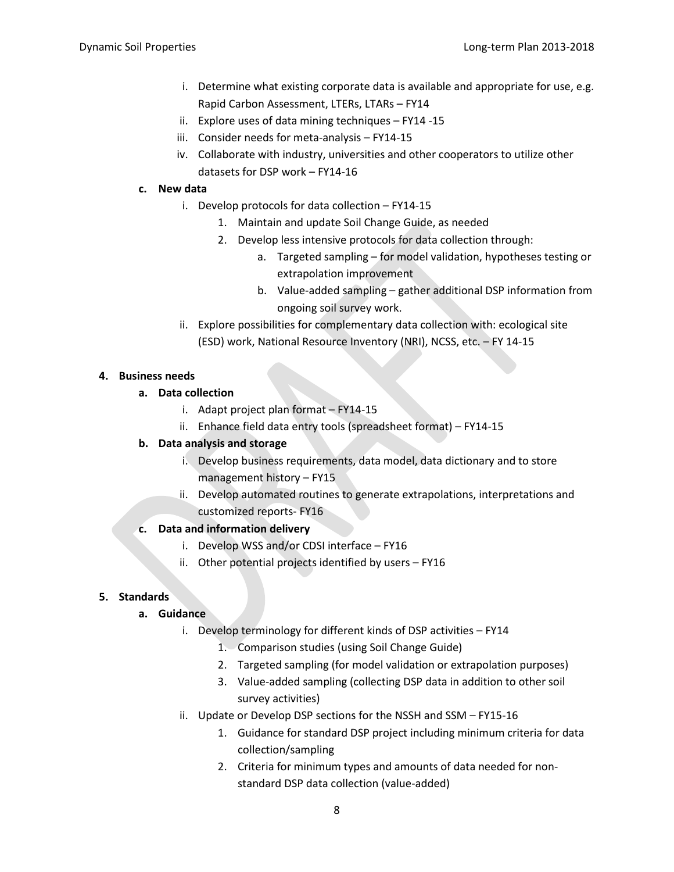- i. Determine what existing corporate data is available and appropriate for use, e.g. Rapid Carbon Assessment, LTERs, LTARs – FY14
- ii. Explore uses of data mining techniques FY14 -15
- iii. Consider needs for meta-analysis FY14-15
- iv. Collaborate with industry, universities and other cooperators to utilize other datasets for DSP work – FY14-16

#### **c. New data**

- i. Develop protocols for data collection FY14-15
	- 1. Maintain and update Soil Change Guide, as needed
	- 2. Develop less intensive protocols for data collection through:
		- a. Targeted sampling for model validation, hypotheses testing or extrapolation improvement
		- b. Value-added sampling gather additional DSP information from ongoing soil survey work.
- ii. Explore possibilities for complementary data collection with: ecological site (ESD) work, National Resource Inventory (NRI), NCSS, etc. – FY 14-15

#### **4. Business needs**

#### **a. Data collection**

- i. Adapt project plan format FY14-15
- ii. Enhance field data entry tools (spreadsheet format) FY14-15

## **b. Data analysis and storage**

- i. Develop business requirements, data model, data dictionary and to store management history – FY15
- ii. Develop automated routines to generate extrapolations, interpretations and customized reports- FY16

#### **c. Data and information delivery**

- i. Develop WSS and/or CDSI interface FY16
- ii. Other potential projects identified by users FY16

#### **5. Standards**

#### **a. Guidance**

- i. Develop terminology for different kinds of DSP activities FY14
	- 1. Comparison studies (using Soil Change Guide)
	- 2. Targeted sampling (for model validation or extrapolation purposes)
	- 3. Value-added sampling (collecting DSP data in addition to other soil survey activities)
- ii. Update or Develop DSP sections for the NSSH and SSM FY15-16
	- 1. Guidance for standard DSP project including minimum criteria for data collection/sampling
	- 2. Criteria for minimum types and amounts of data needed for nonstandard DSP data collection (value-added)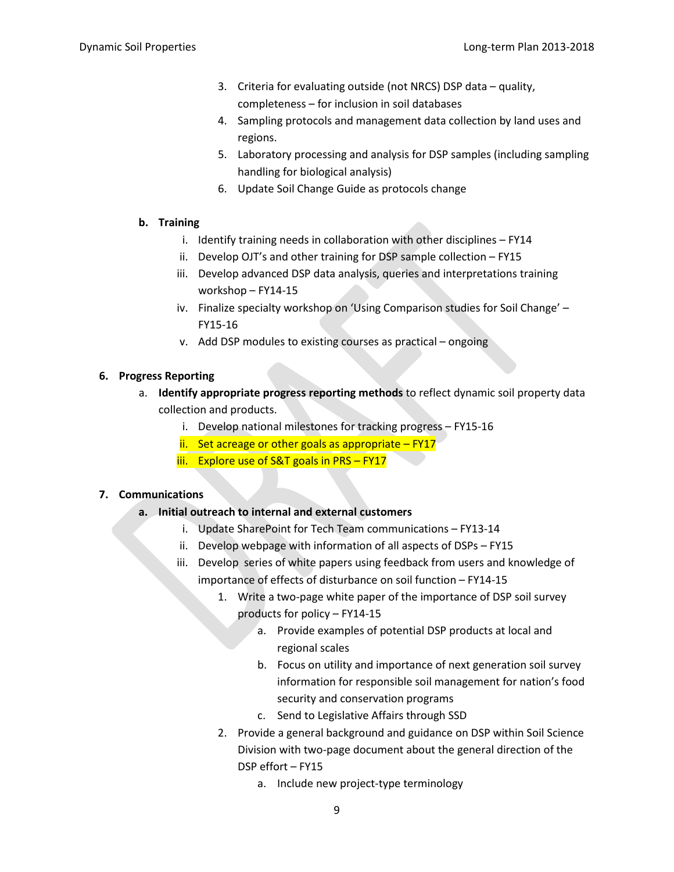- 3. Criteria for evaluating outside (not NRCS) DSP data quality, completeness – for inclusion in soil databases
- 4. Sampling protocols and management data collection by land uses and regions.
- 5. Laboratory processing and analysis for DSP samples (including sampling handling for biological analysis)
- 6. Update Soil Change Guide as protocols change

#### **b. Training**

- i. Identify training needs in collaboration with other disciplines FY14
- ii. Develop OJT's and other training for DSP sample collection FY15
- iii. Develop advanced DSP data analysis, queries and interpretations training workshop – FY14-15
- iv. Finalize specialty workshop on 'Using Comparison studies for Soil Change' FY15-16
- v. Add DSP modules to existing courses as practical ongoing

#### **6. Progress Reporting**

- a. **Identify appropriate progress reporting methods** to reflect dynamic soil property data collection and products.
	- i. Develop national milestones for tracking progress FY15-16
	- ii. Set acreage or other goals as appropriate  $-$  FY17
	- iii. Explore use of S&T goals in PRS FY17

#### **7. Communications**

#### **a. Initial outreach to internal and external customers**

- i. Update SharePoint for Tech Team communications FY13-14
- ii. Develop webpage with information of all aspects of DSPs FY15
- iii. Develop series of white papers using feedback from users and knowledge of importance of effects of disturbance on soil function – FY14-15
	- 1. Write a two-page white paper of the importance of DSP soil survey products for policy – FY14-15
		- a. Provide examples of potential DSP products at local and regional scales
		- b. Focus on utility and importance of next generation soil survey information for responsible soil management for nation's food security and conservation programs
		- c. Send to Legislative Affairs through SSD
	- 2. Provide a general background and guidance on DSP within Soil Science Division with two-page document about the general direction of the DSP effort – FY15
		- a. Include new project-type terminology